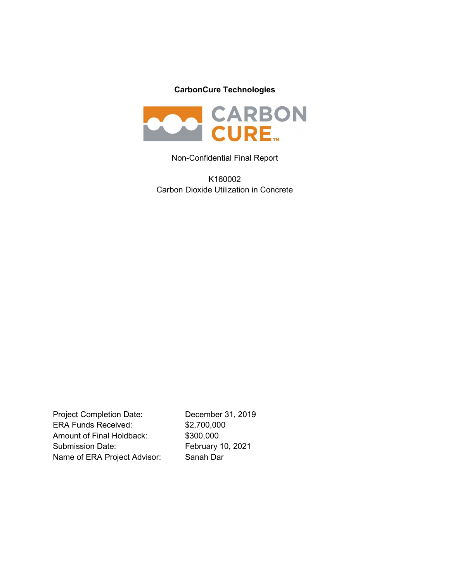## CarbonCure Technologies



#### Non-Confidential Final Report

K160002 Carbon Dioxide Utilization in Concrete

Project Completion Date: December 31, 2019 ERA Funds Received: \$2,700,000 Amount of Final Holdback: \$300,000 Submission Date: February 10, 2021 Name of ERA Project Advisor: Sanah Dar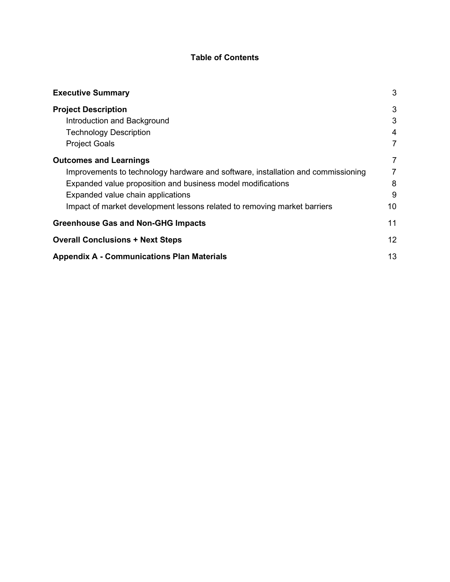## Table of Contents

| <b>Executive Summary</b>                                                         | 3  |
|----------------------------------------------------------------------------------|----|
| <b>Project Description</b>                                                       | 3  |
| Introduction and Background                                                      | 3  |
| <b>Technology Description</b>                                                    | 4  |
| <b>Project Goals</b>                                                             | 7  |
| <b>Outcomes and Learnings</b>                                                    | 7  |
| Improvements to technology hardware and software, installation and commissioning | 7  |
| Expanded value proposition and business model modifications                      | 8  |
| Expanded value chain applications                                                | 9  |
| Impact of market development lessons related to removing market barriers         | 10 |
| <b>Greenhouse Gas and Non-GHG Impacts</b>                                        | 11 |
| <b>Overall Conclusions + Next Steps</b>                                          | 12 |
| <b>Appendix A - Communications Plan Materials</b>                                | 13 |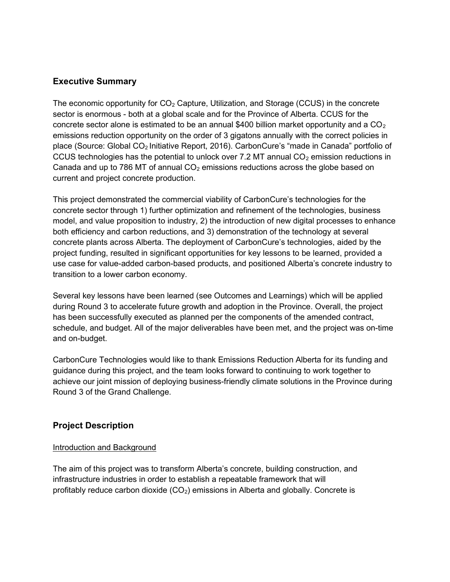### Executive Summary

The economic opportunity for  $CO<sub>2</sub>$  Capture, Utilization, and Storage (CCUS) in the concrete sector is enormous - both at a global scale and for the Province of Alberta. CCUS for the concrete sector alone is estimated to be an annual \$400 billion market opportunity and a  $CO<sub>2</sub>$ emissions reduction opportunity on the order of 3 gigatons annually with the correct policies in place (Source: Global CO2 Initiative Report, 2016). CarbonCure's "made in Canada" portfolio of CCUS technologies has the potential to unlock over 7.2 MT annual  $CO<sub>2</sub>$  emission reductions in Canada and up to 786 MT of annual  $CO<sub>2</sub>$  emissions reductions across the globe based on current and project concrete production.

This project demonstrated the commercial viability of CarbonCure's technologies for the concrete sector through 1) further optimization and refinement of the technologies, business model, and value proposition to industry, 2) the introduction of new digital processes to enhance both efficiency and carbon reductions, and 3) demonstration of the technology at several concrete plants across Alberta. The deployment of CarbonCure's technologies, aided by the project funding, resulted in significant opportunities for key lessons to be learned, provided a use case for value-added carbon-based products, and positioned Alberta's concrete industry to transition to a lower carbon economy.

Several key lessons have been learned (see Outcomes and Learnings) which will be applied during Round 3 to accelerate future growth and adoption in the Province. Overall, the project has been successfully executed as planned per the components of the amended contract, schedule, and budget. All of the major deliverables have been met, and the project was on-time and on-budget.

CarbonCure Technologies would like to thank Emissions Reduction Alberta for its funding and guidance during this project, and the team looks forward to continuing to work together to achieve our joint mission of deploying business-friendly climate solutions in the Province during Round 3 of the Grand Challenge.

## Project Description

#### Introduction and Background

The aim of this project was to transform Alberta's concrete, building construction, and infrastructure industries in order to establish a repeatable framework that will profitably reduce carbon dioxide  $(CO<sub>2</sub>)$  emissions in Alberta and globally. Concrete is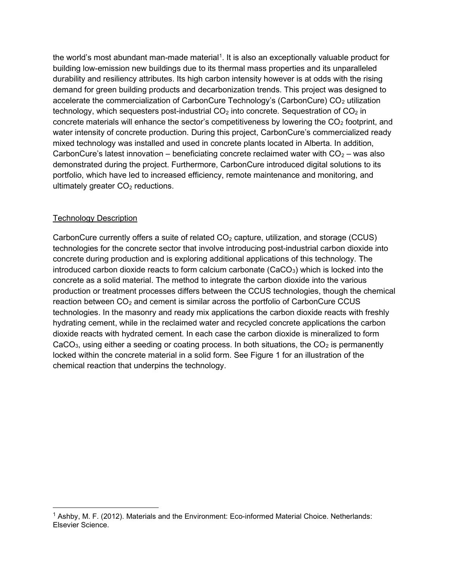the world's most abundant man-made material<sup>1</sup>. It is also an exceptionally valuable product for building low-emission new buildings due to its thermal mass properties and its unparalleled durability and resiliency attributes. Its high carbon intensity however is at odds with the rising demand for green building products and decarbonization trends. This project was designed to accelerate the commercialization of CarbonCure Technology's (CarbonCure)  $CO<sub>2</sub>$  utilization technology, which sequesters post-industrial  $CO<sub>2</sub>$  into concrete. Sequestration of  $CO<sub>2</sub>$  in concrete materials will enhance the sector's competitiveness by lowering the  $CO<sub>2</sub>$  footprint, and water intensity of concrete production. During this project, CarbonCure's commercialized ready mixed technology was installed and used in concrete plants located in Alberta. In addition, CarbonCure's latest innovation – beneficiating concrete reclaimed water with  $CO<sub>2</sub>$  – was also demonstrated during the project. Furthermore, CarbonCure introduced digital solutions to its portfolio, which have led to increased efficiency, remote maintenance and monitoring, and ultimately greater  $CO<sub>2</sub>$  reductions.

#### Technology Description

CarbonCure currently offers a suite of related  $CO<sub>2</sub>$  capture, utilization, and storage (CCUS) technologies for the concrete sector that involve introducing post-industrial carbon dioxide into concrete during production and is exploring additional applications of this technology. The introduced carbon dioxide reacts to form calcium carbonate ( $CaCO<sub>3</sub>$ ) which is locked into the concrete as a solid material. The method to integrate the carbon dioxide into the various production or treatment processes differs between the CCUS technologies, though the chemical reaction between  $CO<sub>2</sub>$  and cement is similar across the portfolio of CarbonCure CCUS technologies. In the masonry and ready mix applications the carbon dioxide reacts with freshly hydrating cement, while in the reclaimed water and recycled concrete applications the carbon dioxide reacts with hydrated cement. In each case the carbon dioxide is mineralized to form CaCO<sub>3</sub>, using either a seeding or coating process. In both situations, the  $CO<sub>2</sub>$  is permanently locked within the concrete material in a solid form. See Figure 1 for an illustration of the chemical reaction that underpins the technology.

<sup>&</sup>lt;sup>1</sup> Ashby, M. F. (2012). Materials and the Environment: Eco-informed Material Choice. Netherlands: Elsevier Science.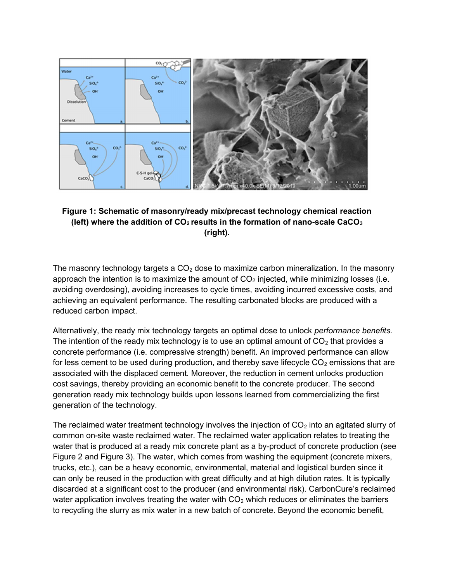

### Figure 1: Schematic of masonry/ready mix/precast technology chemical reaction (left) where the addition of  $CO<sub>2</sub>$  results in the formation of nano-scale CaCO<sub>3</sub> (right).

The masonry technology targets a  $CO<sub>2</sub>$  dose to maximize carbon mineralization. In the masonry approach the intention is to maximize the amount of  $CO<sub>2</sub>$  injected, while minimizing losses (i.e. avoiding overdosing), avoiding increases to cycle times, avoiding incurred excessive costs, and achieving an equivalent performance. The resulting carbonated blocks are produced with a reduced carbon impact.

Alternatively, the ready mix technology targets an optimal dose to unlock *performance benefits*. The intention of the ready mix technology is to use an optimal amount of  $CO<sub>2</sub>$  that provides a concrete performance (i.e. compressive strength) benefit. An improved performance can allow for less cement to be used during production, and thereby save lifecycle  $CO<sub>2</sub>$  emissions that are associated with the displaced cement. Moreover, the reduction in cement unlocks production cost savings, thereby providing an economic benefit to the concrete producer. The second generation ready mix technology builds upon lessons learned from commercializing the first generation of the technology.

The reclaimed water treatment technology involves the injection of  $CO<sub>2</sub>$  into an agitated slurry of common on-site waste reclaimed water. The reclaimed water application relates to treating the water that is produced at a ready mix concrete plant as a by-product of concrete production (see Figure 2 and Figure 3). The water, which comes from washing the equipment (concrete mixers, trucks, etc.), can be a heavy economic, environmental, material and logistical burden since it can only be reused in the production with great difficulty and at high dilution rates. It is typically discarded at a significant cost to the producer (and environmental risk). CarbonCure's reclaimed water application involves treating the water with  $CO<sub>2</sub>$  which reduces or eliminates the barriers to recycling the slurry as mix water in a new batch of concrete. Beyond the economic benefit,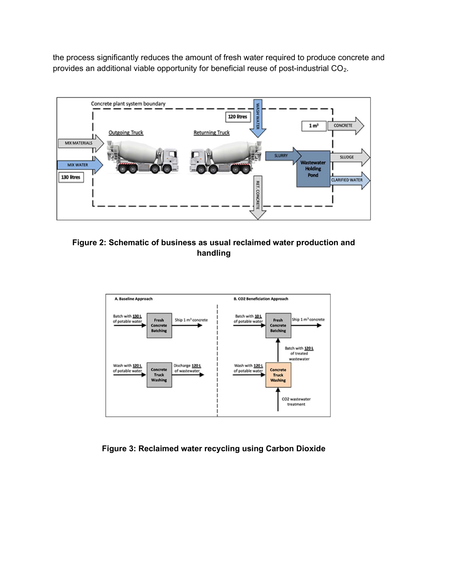the process significantly reduces the amount of fresh water required to produce concrete and provides an additional viable opportunity for beneficial reuse of post-industrial CO<sub>2</sub>.



Figure 2: Schematic of business as usual reclaimed water production and handling



Figure 3: Reclaimed water recycling using Carbon Dioxide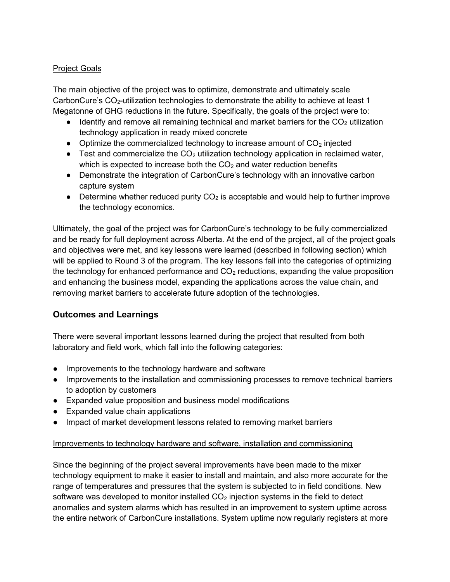### Project Goals

The main objective of the project was to optimize, demonstrate and ultimately scale CarbonCure's  $CO<sub>2</sub>$ -utilization technologies to demonstrate the ability to achieve at least 1 Megatonne of GHG reductions in the future. Specifically, the goals of the project were to:

- $\bullet$  Identify and remove all remaining technical and market barriers for the CO<sub>2</sub> utilization technology application in ready mixed concrete
- Optimize the commercialized technology to increase amount of  $CO<sub>2</sub>$  injected
- **•** Test and commercialize the  $CO<sub>2</sub>$  utilization technology application in reclaimed water, which is expected to increase both the  $CO<sub>2</sub>$  and water reduction benefits
- Demonstrate the integration of CarbonCure's technology with an innovative carbon capture system
- Determine whether reduced purity  $CO<sub>2</sub>$  is acceptable and would help to further improve the technology economics.

Ultimately, the goal of the project was for CarbonCure's technology to be fully commercialized and be ready for full deployment across Alberta. At the end of the project, all of the project goals and objectives were met, and key lessons were learned (described in following section) which will be applied to Round 3 of the program. The key lessons fall into the categories of optimizing the technology for enhanced performance and  $CO<sub>2</sub>$  reductions, expanding the value proposition and enhancing the business model, expanding the applications across the value chain, and removing market barriers to accelerate future adoption of the technologies.

## Outcomes and Learnings

There were several important lessons learned during the project that resulted from both laboratory and field work, which fall into the following categories:

- Improvements to the technology hardware and software
- Improvements to the installation and commissioning processes to remove technical barriers to adoption by customers
- Expanded value proposition and business model modifications
- Expanded value chain applications
- Impact of market development lessons related to removing market barriers

#### Improvements to technology hardware and software, installation and commissioning

Since the beginning of the project several improvements have been made to the mixer technology equipment to make it easier to install and maintain, and also more accurate for the range of temperatures and pressures that the system is subjected to in field conditions. New software was developed to monitor installed  $CO<sub>2</sub>$  injection systems in the field to detect anomalies and system alarms which has resulted in an improvement to system uptime across the entire network of CarbonCure installations. System uptime now regularly registers at more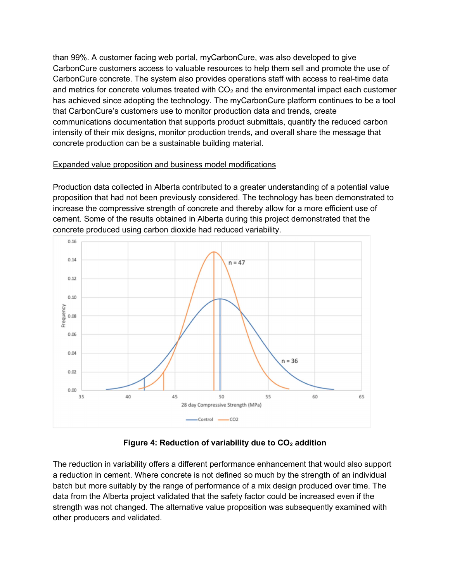than 99%. A customer facing web portal, myCarbonCure, was also developed to give CarbonCure customers access to valuable resources to help them sell and promote the use of CarbonCure concrete. The system also provides operations staff with access to real-time data and metrics for concrete volumes treated with  $CO<sub>2</sub>$  and the environmental impact each customer has achieved since adopting the technology. The myCarbonCure platform continues to be a tool that CarbonCure's customers use to monitor production data and trends, create communications documentation that supports product submittals, quantify the reduced carbon intensity of their mix designs, monitor production trends, and overall share the message that concrete production can be a sustainable building material.

#### Expanded value proposition and business model modifications

Production data collected in Alberta contributed to a greater understanding of a potential value proposition that had not been previously considered. The technology has been demonstrated to increase the compressive strength of concrete and thereby allow for a more efficient use of cement. Some of the results obtained in Alberta during this project demonstrated that the concrete produced using carbon dioxide had reduced variability.



## Figure 4: Reduction of variability due to  $CO<sub>2</sub>$  addition

The reduction in variability offers a different performance enhancement that would also support a reduction in cement. Where concrete is not defined so much by the strength of an individual batch but more suitably by the range of performance of a mix design produced over time. The data from the Alberta project validated that the safety factor could be increased even if the strength was not changed. The alternative value proposition was subsequently examined with other producers and validated.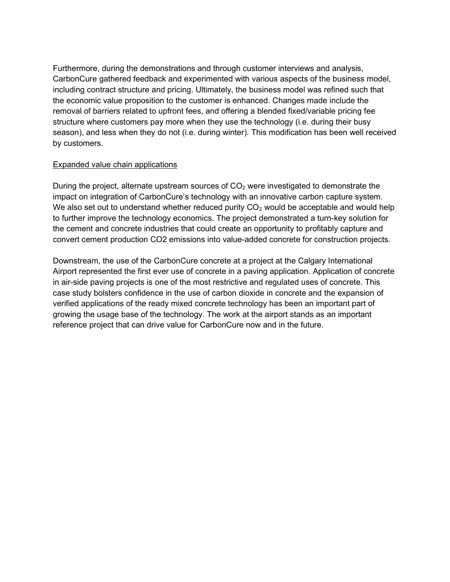Furthermore, during the demonstrations and through customer interviews and analysis, CarbonCure gathered feedback and experimented with various aspects of the business model, including contract structure and pricing. Ultimately, the business model was refined such that the economic value proposition to the customer is enhanced. Changes made include the removal of barriers related to upfront fees, and offering a blended fixed/variable pricing fee structure where customers pay more when they use the technology (i.e. during their busy season), and less when they do not (i.e. during winter). This modification has been well received by customers.

#### Expanded value chain applications

During the project, alternate upstream sources of  $CO<sub>2</sub>$  were investigated to demonstrate the impact on integration of CarbonCure's technology with an innovative carbon capture system. We also set out to understand whether reduced purity  $CO<sub>2</sub>$  would be acceptable and would help to further improve the technology economics. The project demonstrated a turn-key solution for the cement and concrete industries that could create an opportunity to profitably capture and convert cement production CO2 emissions into value-added concrete for construction projects.

Downstream, the use of the CarbonCure concrete at a project at the Calgary International Airport represented the first ever use of concrete in a paving application. Application of concrete in air-side paving projects is one of the most restrictive and regulated uses of concrete. This case study bolsters confidence in the use of carbon dioxide in concrete and the expansion of verified applications of the ready mixed concrete technology has been an important part of growing the usage base of the technology. The work at the airport stands as an important reference project that can drive value for CarbonCure now and in the future.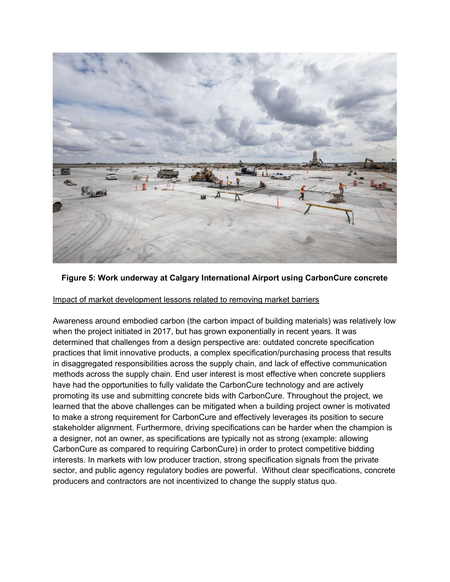

#### Figure 5: Work underway at Calgary International Airport using CarbonCure concrete

#### Impact of market development lessons related to removing market barriers

Awareness around embodied carbon (the carbon impact of building materials) was relatively low when the project initiated in 2017, but has grown exponentially in recent years. It was determined that challenges from a design perspective are: outdated concrete specification practices that limit innovative products, a complex specification/purchasing process that results in disaggregated responsibilities across the supply chain, and lack of effective communication methods across the supply chain. End user interest is most effective when concrete suppliers have had the opportunities to fully validate the CarbonCure technology and are actively promoting its use and submitting concrete bids with CarbonCure. Throughout the project, we learned that the above challenges can be mitigated when a building project owner is motivated to make a strong requirement for CarbonCure and effectively leverages its position to secure stakeholder alignment. Furthermore, driving specifications can be harder when the champion is a designer, not an owner, as specifications are typically not as strong (example: allowing CarbonCure as compared to requiring CarbonCure) in order to protect competitive bidding interests. In markets with low producer traction, strong specification signals from the private sector, and public agency regulatory bodies are powerful. Without clear specifications, concrete producers and contractors are not incentivized to change the supply status quo.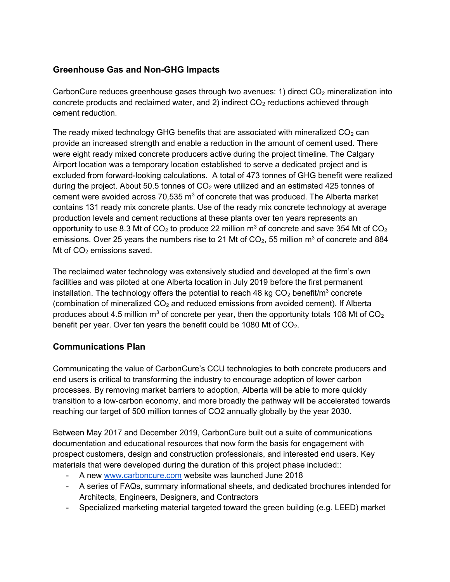# Greenhouse Gas and Non-GHG Impacts

CarbonCure reduces greenhouse gases through two avenues: 1) direct  $CO<sub>2</sub>$  mineralization into concrete products and reclaimed water, and 2) indirect  $CO<sub>2</sub>$  reductions achieved through cement reduction.

The ready mixed technology GHG benefits that are associated with mineralized  $CO<sub>2</sub>$  can provide an increased strength and enable a reduction in the amount of cement used. There were eight ready mixed concrete producers active during the project timeline. The Calgary Airport location was a temporary location established to serve a dedicated project and is excluded from forward-looking calculations. A total of 473 tonnes of GHG benefit were realized during the project. About 50.5 tonnes of  $CO<sub>2</sub>$  were utilized and an estimated 425 tonnes of cement were avoided across 70,535  $m^3$  of concrete that was produced. The Alberta market contains 131 ready mix concrete plants. Use of the ready mix concrete technology at average production levels and cement reductions at these plants over ten years represents an opportunity to use 8.3 Mt of CO<sub>2</sub> to produce 22 million m<sup>3</sup> of concrete and save 354 Mt of CO<sub>2</sub> emissions. Over 25 years the numbers rise to 21 Mt of CO<sub>2</sub>, 55 million m<sup>3</sup> of concrete and 884 Mt of  $CO<sub>2</sub>$  emissions saved.

The reclaimed water technology was extensively studied and developed at the firm's own facilities and was piloted at one Alberta location in July 2019 before the first permanent installation. The technology offers the potential to reach 48 kg CO<sub>2</sub> benefit/m<sup>3</sup> concrete (combination of mineralized  $CO<sub>2</sub>$  and reduced emissions from avoided cement). If Alberta produces about 4.5 million m<sup>3</sup> of concrete per year, then the opportunity totals 108 Mt of CO<sub>2</sub> benefit per year. Over ten years the benefit could be 1080 Mt of  $CO<sub>2</sub>$ .

## Communications Plan

Communicating the value of CarbonCure's CCU technologies to both concrete producers and end users is critical to transforming the industry to encourage adoption of lower carbon processes. By removing market barriers to adoption, Alberta will be able to more quickly transition to a low-carbon economy, and more broadly the pathway will be accelerated towards reaching our target of 500 million tonnes of CO2 annually globally by the year 2030.

Between May 2017 and December 2019, CarbonCure built out a suite of communications documentation and educational resources that now form the basis for engagement with prospect customers, design and construction professionals, and interested end users. Key materials that were developed during the duration of this project phase included::

- A new www.carboncure.com website was launched June 2018
- A series of FAQs, summary informational sheets, and dedicated brochures intended for Architects, Engineers, Designers, and Contractors
- Specialized marketing material targeted toward the green building (e.g. LEED) market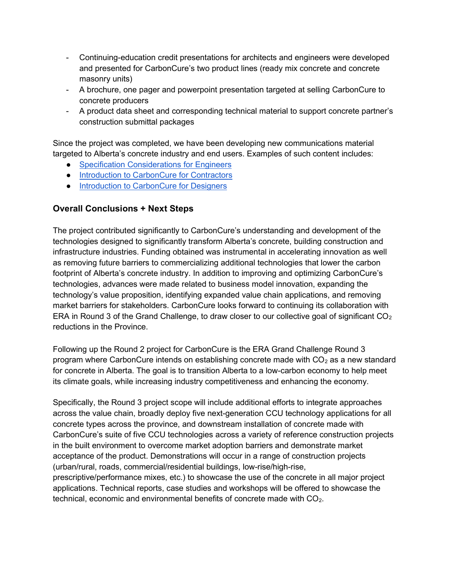- Continuing-education credit presentations for architects and engineers were developed and presented for CarbonCure's two product lines (ready mix concrete and concrete masonry units)
- A brochure, one pager and powerpoint presentation targeted at selling CarbonCure to concrete producers
- A product data sheet and corresponding technical material to support concrete partner's construction submittal packages

Since the project was completed, we have been developing new communications material targeted to Alberta's concrete industry and end users. Examples of such content includes:

- Specification Considerations for Engineers
- Introduction to CarbonCure for Contractors
- Introduction to CarbonCure for Designers

## Overall Conclusions + Next Steps

The project contributed significantly to CarbonCure's understanding and development of the technologies designed to significantly transform Alberta's concrete, building construction and infrastructure industries. Funding obtained was instrumental in accelerating innovation as well as removing future barriers to commercializing additional technologies that lower the carbon footprint of Alberta's concrete industry. In addition to improving and optimizing CarbonCure's technologies, advances were made related to business model innovation, expanding the technology's value proposition, identifying expanded value chain applications, and removing market barriers for stakeholders. CarbonCure looks forward to continuing its collaboration with ERA in Round 3 of the Grand Challenge, to draw closer to our collective goal of significant  $CO<sub>2</sub>$ reductions in the Province.

Following up the Round 2 project for CarbonCure is the ERA Grand Challenge Round 3 program where CarbonCure intends on establishing concrete made with  $CO<sub>2</sub>$  as a new standard for concrete in Alberta. The goal is to transition Alberta to a low-carbon economy to help meet its climate goals, while increasing industry competitiveness and enhancing the economy.

Specifically, the Round 3 project scope will include additional efforts to integrate approaches across the value chain, broadly deploy five next-generation CCU technology applications for all concrete types across the province, and downstream installation of concrete made with CarbonCure's suite of five CCU technologies across a variety of reference construction projects in the built environment to overcome market adoption barriers and demonstrate market acceptance of the product. Demonstrations will occur in a range of construction projects (urban/rural, roads, commercial/residential buildings, low-rise/high-rise, prescriptive/performance mixes, etc.) to showcase the use of the concrete in all major project applications. Technical reports, case studies and workshops will be offered to showcase the technical, economic and environmental benefits of concrete made with  $CO<sub>2</sub>$ .